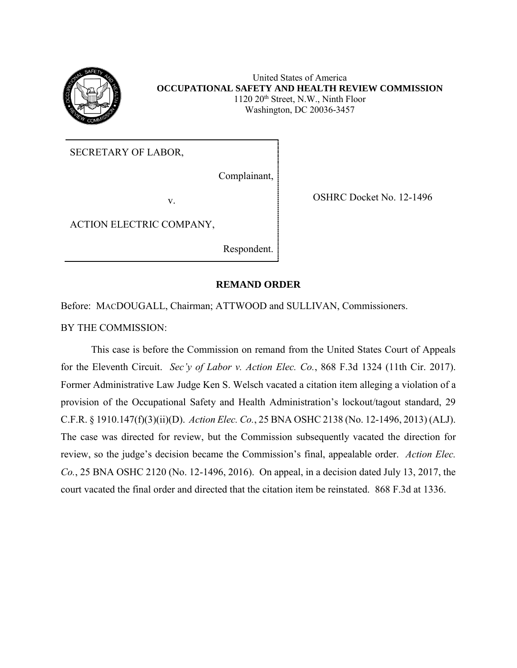

United States of America **OCCUPATIONAL SAFETY AND HEALTH REVIEW COMMISSION** 1120 20th Street, N.W., Ninth Floor Washington, DC 20036-3457

SECRETARY OF LABOR,

Complainant,

v. SHRC Docket No. 12-1496

ACTION ELECTRIC COMPANY,

Respondent.

## **REMAND ORDER**

Before: MACDOUGALL, Chairman; ATTWOOD and SULLIVAN, Commissioners.

BY THE COMMISSION:

This case is before the Commission on remand from the United States Court of Appeals for the Eleventh Circuit. *Sec'y of Labor v. Action Elec. Co.*, 868 F.3d 1324 (11th Cir. 2017). Former Administrative Law Judge Ken S. Welsch vacated a citation item alleging a violation of a provision of the Occupational Safety and Health Administration's lockout/tagout standard, 29 C.F.R. § 1910.147(f)(3)(ii)(D). *Action Elec. Co.*, 25 BNA OSHC 2138 (No. 12-1496, 2013) (ALJ). The case was directed for review, but the Commission subsequently vacated the direction for review, so the judge's decision became the Commission's final, appealable order. *Action Elec. Co.*, 25 BNA OSHC 2120 (No. 12-1496, 2016). On appeal, in a decision dated July 13, 2017, the court vacated the final order and directed that the citation item be reinstated. 868 F.3d at 1336.